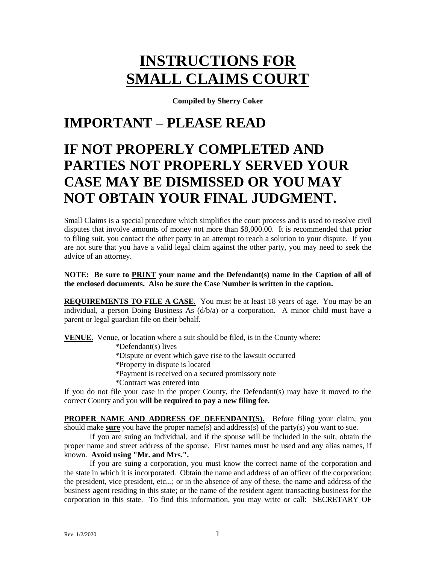# **INSTRUCTIONS FOR SMALL CLAIMS COURT**

**Compiled by Sherry Coker**

# **IMPORTANT – PLEASE READ**

# **IF NOT PROPERLY COMPLETED AND PARTIES NOT PROPERLY SERVED YOUR CASE MAY BE DISMISSED OR YOU MAY NOT OBTAIN YOUR FINAL JUDGMENT.**

Small Claims is a special procedure which simplifies the court process and is used to resolve civil disputes that involve amounts of money not more than \$8,000.00. It is recommended that **prior** to filing suit, you contact the other party in an attempt to reach a solution to your dispute. If you are not sure that you have a valid legal claim against the other party, you may need to seek the advice of an attorney.

## **NOTE: Be sure to PRINT your name and the Defendant(s) name in the Caption of all of the enclosed documents. Also be sure the Case Number is written in the caption.**

**REQUIREMENTS TO FILE A CASE**. You must be at least 18 years of age. You may be an individual, a person Doing Business As  $(d/b/a)$  or a corporation. A minor child must have a parent or legal guardian file on their behalf.

**VENUE.** Venue, or location where a suit should be filed, is in the County where:

\*Defendant(s) lives

\*Dispute or event which gave rise to the lawsuit occurred

\*Property in dispute is located

\*Payment is received on a secured promissory note

\*Contract was entered into

If you do not file your case in the proper County, the Defendant(s) may have it moved to the correct County and you **will be required to pay a new filing fee.**

**PROPER NAME AND ADDRESS OF DEFENDANT(S).** Before filing your claim, you should make **sure** you have the proper name(s) and address(s) of the party(s) you want to sue.

If you are suing an individual, and if the spouse will be included in the suit, obtain the proper name and street address of the spouse. First names must be used and any alias names, if known. **Avoid using "Mr. and Mrs.".**

If you are suing a corporation, you must know the correct name of the corporation and the state in which it is incorporated. Obtain the name and address of an officer of the corporation: the president, vice president, etc...; or in the absence of any of these, the name and address of the business agent residing in this state; or the name of the resident agent transacting business for the corporation in this state. To find this information, you may write or call: SECRETARY OF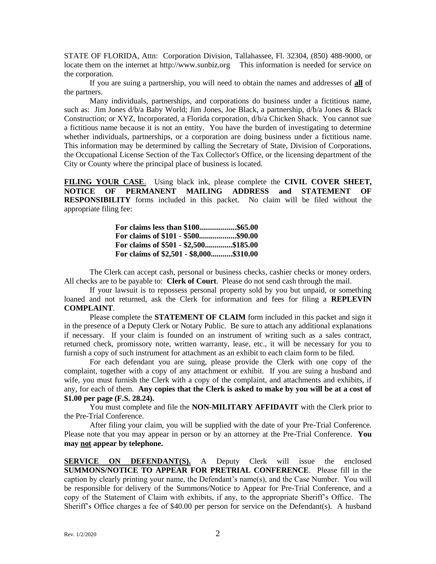STATE OF FLORIDA, Attn: Corporation Division, Tallahassee, Fl. 32304, (850) 488-9000, or locate them on the internet at http://www.sunbiz.org This information is needed for service on the corporation.

If you are suing a partnership, you will need to obtain the names and addresses of **all** of the partners.

Many individuals, partnerships, and corporations do business under a fictitious name, such as: Jim Jones d/b/a Baby World; Jim Jones, Joe Black, a partnership, d/b/a Jones & Black Construction; or XYZ, Incorporated, a Florida corporation, d/b/a Chicken Shack. You cannot sue a fictitious name because it is not an entity. You have the burden of investigating to determine whether individuals, partnerships, or a corporation are doing business under a fictitious name. This information may be determined by calling the Secretary of State, Division of Corporations, the Occupational License Section of the Tax Collector's Office, or the licensing department of the City or County where the principal place of business is located.

**FILING YOUR CASE**. Using black ink, please complete the **CIVIL COVER SHEET, NOTICE OF PERMANENT MAILING ADDRESS and STATEMENT OF RESPONSIBILITY** forms included in this packet. No claim will be filed without the appropriate filing fee:

| For claims less than \$100\$65.00       |
|-----------------------------------------|
| For claims of \$101 - \$500\$90.00      |
| For claims of \$501 - \$2,500\$185.00   |
| For claims of \$2,501 - \$8,000\$310.00 |

The Clerk can accept cash, personal or business checks, cashier checks or money orders. All checks are to be payable to: **Clerk of Court**. Please do not send cash through the mail.

If your lawsuit is to repossess personal property sold by you but unpaid, or something loaned and not returned, ask the Clerk for information and fees for filing a **REPLEVIN COMPLAINT**.

Please complete the **STATEMENT OF CLAIM** form included in this packet and sign it in the presence of a Deputy Clerk or Notary Public. Be sure to attach any additional explanations if necessary. If your claim is founded on an instrument of writing such as a sales contract, returned check, promissory note, written warranty, lease, etc., it will be necessary for you to furnish a copy of such instrument for attachment as an exhibit to each claim form to be filed.

For each defendant you are suing, please provide the Clerk with one copy of the complaint, together with a copy of any attachment or exhibit. If you are suing a husband and wife, you must furnish the Clerk with a copy of the complaint, and attachments and exhibits, if any, for each of them. **Any copies that the Clerk is asked to make by you will be at a cost of \$1.00 per page (F.S. 28.24).**

You must complete and file the **NON-MILITARY AFFIDAVIT** with the Clerk prior to the Pre-Trial Conference.

After filing your claim, you will be supplied with the date of your Pre-Trial Conference. Please note that you may appear in person or by an attorney at the Pre-Trial Conference. **You may not appear by telephone.**

**SERVICE ON DEFENDANT(S).** A Deputy Clerk will issue the enclosed **SUMMONS/NOTICE TO APPEAR FOR PRETRIAL CONFERENCE**. Please fill in the caption by clearly printing your name, the Defendant's name(s), and the Case Number. You will be responsible for delivery of the Summons/Notice to Appear for Pre-Trial Conference, and a copy of the Statement of Claim with exhibits, if any, to the appropriate Sheriff's Office. The Sheriff's Office charges a fee of \$40.00 per person for service on the Defendant(s). A husband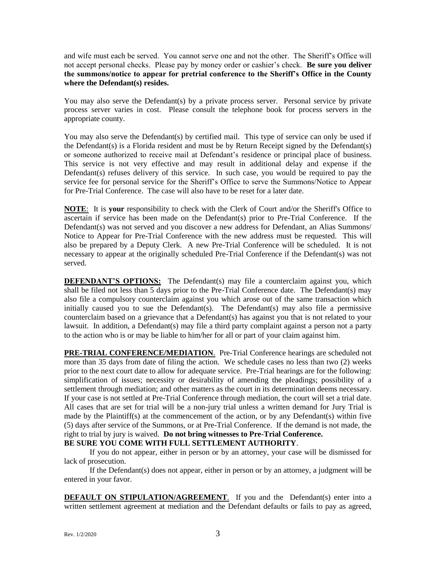and wife must each be served. You cannot serve one and not the other. The Sheriff's Office will not accept personal checks. Please pay by money order or cashier's check. **Be sure you deliver the summons/notice to appear for pretrial conference to the Sheriff's Office in the County where the Defendant(s) resides.**

You may also serve the Defendant(s) by a private process server. Personal service by private process server varies in cost. Please consult the telephone book for process servers in the appropriate county.

You may also serve the Defendant(s) by certified mail. This type of service can only be used if the Defendant(s) is a Florida resident and must be by Return Receipt signed by the Defendant(s) or someone authorized to receive mail at Defendant's residence or principal place of business. This service is not very effective and may result in additional delay and expense if the Defendant(s) refuses delivery of this service. In such case, you would be required to pay the service fee for personal service for the Sheriff's Office to serve the Summons/Notice to Appear for Pre-Trial Conference. The case will also have to be reset for a later date.

**NOTE**: It is **your** responsibility to check with the Clerk of Court and/or the Sheriff's Office to ascertain if service has been made on the Defendant(s) prior to Pre-Trial Conference. If the Defendant(s) was not served and you discover a new address for Defendant, an Alias Summons/ Notice to Appear for Pre-Trial Conference with the new address must be requested. This will also be prepared by a Deputy Clerk. A new Pre-Trial Conference will be scheduled. It is not necessary to appear at the originally scheduled Pre-Trial Conference if the Defendant(s) was not served.

**DEFENDANT'S OPTIONS:** The Defendant(s) may file a counterclaim against you, which shall be filed not less than 5 days prior to the Pre-Trial Conference date. The Defendant(s) may also file a compulsory counterclaim against you which arose out of the same transaction which initially caused you to sue the Defendant(s). The Defendant(s) may also file a permissive counterclaim based on a grievance that a Defendant(s) has against you that is not related to your lawsuit. In addition, a Defendant(s) may file a third party complaint against a person not a party to the action who is or may be liable to him/her for all or part of your claim against him.

**PRE-TRIAL CONFERENCE/MEDIATION**. Pre-Trial Conference hearings are scheduled not more than 35 days from date of filing the action. We schedule cases no less than two (2) weeks prior to the next court date to allow for adequate service. Pre-Trial hearings are for the following: simplification of issues; necessity or desirability of amending the pleadings; possibility of a settlement through mediation; and other matters as the court in its determination deems necessary. If your case is not settled at Pre-Trial Conference through mediation, the court will set a trial date. All cases that are set for trial will be a non-jury trial unless a written demand for Jury Trial is made by the Plaintiff(s) at the commencement of the action, or by any Defendant(s) within five (5) days after service of the Summons, or at Pre-Trial Conference. If the demand is not made, the right to trial by jury is waived. **Do not bring witnesses to Pre-Trial Conference. BE SURE YOU COME WITH FULL SETTLEMENT AUTHORITY**.

If you do not appear, either in person or by an attorney, your case will be dismissed for lack of prosecution.

If the Defendant(s) does not appear, either in person or by an attorney, a judgment will be entered in your favor.

**DEFAULT ON STIPULATION/AGREEMENT**. If you and the Defendant(s) enter into a written settlement agreement at mediation and the Defendant defaults or fails to pay as agreed,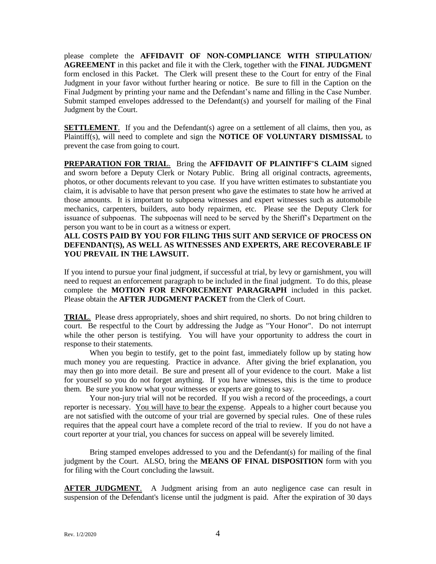please complete the **AFFIDAVIT OF NON-COMPLIANCE WITH STIPULATION/ AGREEMENT** in this packet and file it with the Clerk, together with the **FINAL JUDGMENT** form enclosed in this Packet. The Clerk will present these to the Court for entry of the Final Judgment in your favor without further hearing or notice. Be sure to fill in the Caption on the Final Judgment by printing your name and the Defendant's name and filling in the Case Number. Submit stamped envelopes addressed to the Defendant(s) and yourself for mailing of the Final Judgment by the Court.

**SETTLEMENT**. If you and the Defendant(s) agree on a settlement of all claims, then you, as Plaintiff(s), will need to complete and sign the **NOTICE OF VOLUNTARY DISMISSAL** to prevent the case from going to court.

**PREPARATION FOR TRIAL**. Bring the **AFFIDAVIT OF PLAINTIFF'S CLAIM** signed and sworn before a Deputy Clerk or Notary Public. Bring all original contracts, agreements, photos, or other documents relevant to you case. If you have written estimates to substantiate you claim, it is advisable to have that person present who gave the estimates to state how he arrived at those amounts. It is important to subpoena witnesses and expert witnesses such as automobile mechanics, carpenters, builders, auto body repairmen, etc. Please see the Deputy Clerk for issuance of subpoenas. The subpoenas will need to be served by the Sheriff's Department on the person you want to be in court as a witness or expert.

# **ALL COSTS PAID BY YOU FOR FILING THIS SUIT AND SERVICE OF PROCESS ON DEFENDANT(S), AS WELL AS WITNESSES AND EXPERTS, ARE RECOVERABLE IF YOU PREVAIL IN THE LAWSUIT.**

If you intend to pursue your final judgment, if successful at trial, by levy or garnishment, you will need to request an enforcement paragraph to be included in the final judgment. To do this, please complete the **MOTION FOR ENFORCEMENT PARAGRAPH** included in this packet. Please obtain the **AFTER JUDGMENT PACKET** from the Clerk of Court.

**TRIAL**. Please dress appropriately, shoes and shirt required, no shorts. Do not bring children to court. Be respectful to the Court by addressing the Judge as "Your Honor". Do not interrupt while the other person is testifying. You will have your opportunity to address the court in response to their statements.

When you begin to testify, get to the point fast, immediately follow up by stating how much money you are requesting. Practice in advance. After giving the brief explanation, you may then go into more detail. Be sure and present all of your evidence to the court. Make a list for yourself so you do not forget anything. If you have witnesses, this is the time to produce them. Be sure you know what your witnesses or experts are going to say.

Your non-jury trial will not be recorded. If you wish a record of the proceedings, a court reporter is necessary. You will have to bear the expense. Appeals to a higher court because you are not satisfied with the outcome of your trial are governed by special rules. One of these rules requires that the appeal court have a complete record of the trial to review. If you do not have a court reporter at your trial, you chances for success on appeal will be severely limited.

Bring stamped envelopes addressed to you and the Defendant(s) for mailing of the final judgment by the Court. ALSO, bring the **MEANS OF FINAL DISPOSITION** form with you for filing with the Court concluding the lawsuit.

**AFTER JUDGMENT**. A Judgment arising from an auto negligence case can result in suspension of the Defendant's license until the judgment is paid. After the expiration of 30 days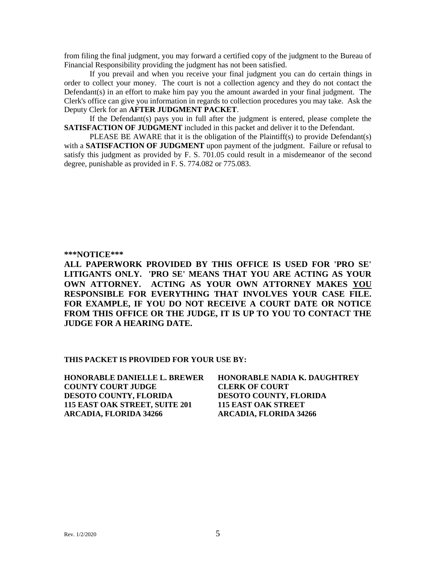from filing the final judgment, you may forward a certified copy of the judgment to the Bureau of Financial Responsibility providing the judgment has not been satisfied.

If you prevail and when you receive your final judgment you can do certain things in order to collect your money. The court is not a collection agency and they do not contact the Defendant(s) in an effort to make him pay you the amount awarded in your final judgment. The Clerk's office can give you information in regards to collection procedures you may take. Ask the Deputy Clerk for an **AFTER JUDGMENT PACKET**.

If the Defendant(s) pays you in full after the judgment is entered, please complete the **SATISFACTION OF JUDGMENT** included in this packet and deliver it to the Defendant.

PLEASE BE AWARE that it is the obligation of the Plaintiff(s) to provide Defendant(s) with a **SATISFACTION OF JUDGMENT** upon payment of the judgment. Failure or refusal to satisfy this judgment as provided by F. S. 701.05 could result in a misdemeanor of the second degree, punishable as provided in F. S. 774.082 or 775.083.

#### **\*\*\*NOTICE\*\*\***

**ALL PAPERWORK PROVIDED BY THIS OFFICE IS USED FOR 'PRO SE' LITIGANTS ONLY. 'PRO SE' MEANS THAT YOU ARE ACTING AS YOUR OWN ATTORNEY. ACTING AS YOUR OWN ATTORNEY MAKES YOU RESPONSIBLE FOR EVERYTHING THAT INVOLVES YOUR CASE FILE. FOR EXAMPLE, IF YOU DO NOT RECEIVE A COURT DATE OR NOTICE FROM THIS OFFICE OR THE JUDGE, IT IS UP TO YOU TO CONTACT THE JUDGE FOR A HEARING DATE.**

#### **THIS PACKET IS PROVIDED FOR YOUR USE BY:**

**HONORABLE DANIELLE L. BREWER HONORABLE NADIA K. DAUGHTREY COUNTY COURT JUDGE CLERK OF COURT DESOTO COUNTY, FLORIDA DESOTO COUNTY, FLORIDA 115 EAST OAK STREET, SUITE 201 115 EAST OAK STREET ARCADIA, FLORIDA 34266 ARCADIA, FLORIDA 34266**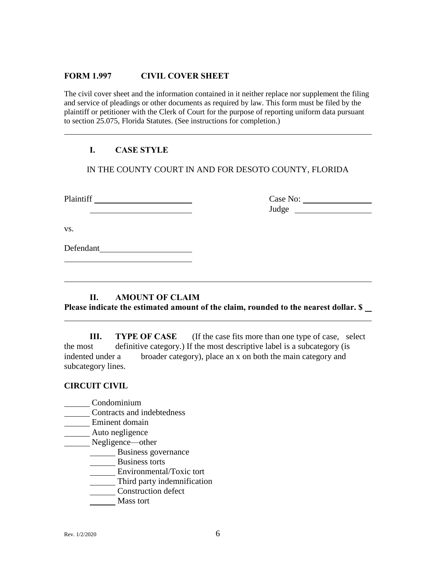# **FORM 1.997 CIVIL COVER SHEET**

The civil cover sheet and the information contained in it neither replace nor supplement the filing and service of pleadings or other documents as required by law. This form must be filed by the plaintiff or petitioner with the Clerk of Court for the purpose of reporting uniform data pursuant to section 25.075, Florida Statutes. (See instructions for completion.)

# **I. CASE STYLE**

IN THE COUNTY COURT IN AND FOR DESOTO COUNTY, FLORIDA

Plaintiff Case No: Case No:

Judge

vs.

Defendant<br>
<u>Defendant</u>

# **II. AMOUNT OF CLAIM**

**Please indicate the estimated amount of the claim, rounded to the nearest dollar. \$** 

**III. TYPE OF CASE** (If the case fits more than one type of case, select the most definitive category.) If the most descriptive label is a subcategory (is indented under a broader category), place an x on both the main category and subcategory lines.

#### **CIRCUIT CIVIL**

- Condominium
- **Contracts and indebtedness**
- Eminent domain
- **Auto negligence**
- Negligence—other
	- Business governance
	- Business torts
	- Environmental/Toxic tort
	- **Third party indemnification**
	- **Construction defect**
	- Mass tort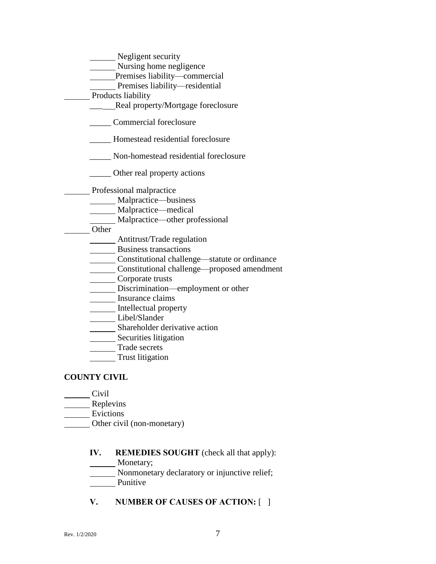| Negligent security                            |  |
|-----------------------------------------------|--|
| Nursing home negligence                       |  |
| Premises liability-commercial                 |  |
| Premises liability-residential                |  |
| Products liability                            |  |
| Real property/Mortgage foreclosure            |  |
| Commercial foreclosure                        |  |
| Homestead residential foreclosure             |  |
| Non-homestead residential foreclosure         |  |
| ______ Other real property actions            |  |
| Professional malpractice                      |  |
| Malpractice—business                          |  |
| Malpractice—medical                           |  |
| _Malpractice—other professional               |  |
| Other                                         |  |
| Antitrust/Trade regulation                    |  |
| Business transactions                         |  |
| Constitutional challenge—statute or ordinance |  |
| Constitutional challenge—proposed amendment   |  |
| Corporate trusts                              |  |
| Discrimination—employment or other            |  |
| Insurance claims                              |  |
| Intellectual property                         |  |
| Libel/Slander                                 |  |
| Shareholder derivative action                 |  |
| Securities litigation                         |  |
| Trade secrets                                 |  |
| Trust litigation                              |  |
| <b>COUNTY CIVIL</b>                           |  |

# Civil

- **EXECUTE:** Replevins
- Evictions
- Other civil (non-monetary)

# **IV. REMEDIES SOUGHT** (check all that apply):

Monetary;

Nonmonetary declaratory or injunctive relief;

- Punitive
- **V. NUMBER OF CAUSES OF ACTION:** [ ]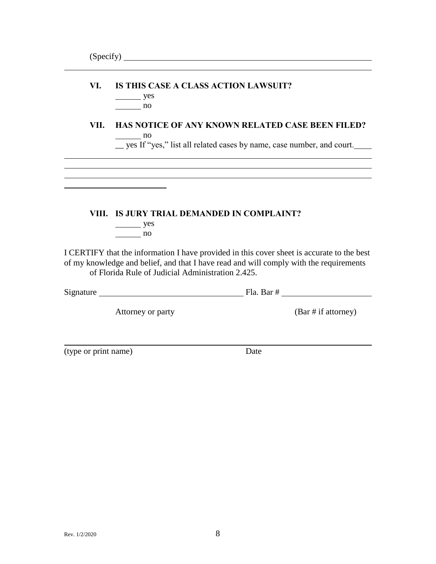# **VI. IS THIS CASE A CLASS ACTION LAWSUIT?**

yes no

# **VII. HAS NOTICE OF ANY KNOWN RELATED CASE BEEN FILED?**  $\frac{1}{\sqrt{1-\frac{1}{2}}}\sqrt{1-\frac{1}{2}}$

\_\_ yes If "yes," list all related cases by name, case number, and court.

# **VIII. IS JURY TRIAL DEMANDED IN COMPLAINT?**

 $\frac{\ }{2}$  yes no

I CERTIFY that the information I have provided in this cover sheet is accurate to the best of my knowledge and belief, and that I have read and will comply with the requirements of Florida Rule of Judicial Administration 2.425.

| Signature<br>Bar<br>Tа. |
|-------------------------|
|-------------------------|

Attorney or party (Bar # if attorney)

(type or print name) Date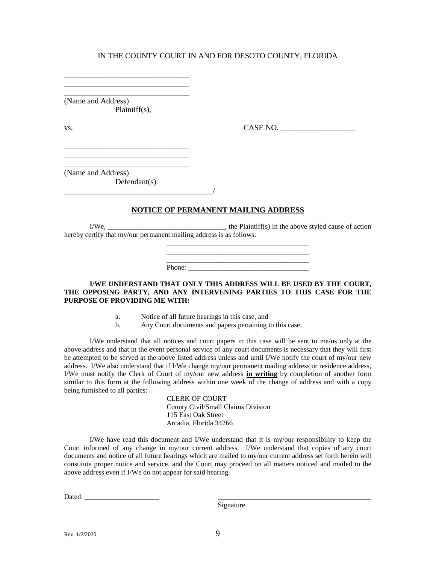\_\_\_\_\_\_\_\_\_\_\_\_\_\_\_\_\_\_\_\_\_\_\_\_\_\_\_\_\_\_\_\_ (Name and Address) Plaintiff(s),

\_\_\_\_\_\_\_\_\_\_\_\_\_\_\_\_\_\_\_\_\_\_\_\_\_\_\_\_\_\_\_\_ \_\_\_\_\_\_\_\_\_\_\_\_\_\_\_\_\_\_\_\_\_\_\_\_\_\_\_\_\_\_\_\_

\_\_\_\_\_\_\_\_\_\_\_\_\_\_\_\_\_\_\_\_\_\_\_\_\_\_\_\_\_\_\_\_ \_\_\_\_\_\_\_\_\_\_\_\_\_\_\_\_\_\_\_\_\_\_\_\_\_\_\_\_\_\_\_\_ \_\_\_\_\_\_\_\_\_\_\_\_\_\_\_\_\_\_\_\_\_\_\_\_\_\_\_\_\_\_\_\_

vs. 2008. CASE NO. 2008. CASE NO. 2008. CASE NO. 2008. 2009. CASE NO. 2008. 2009. CASE NO. 2008. 2014. 2015. 2016. 2017. 2018. 2019. 2017. 2018. 2019. 2017. 2018. 2019. 2017. 2018. 2019. 2017. 2018. 2019. 2019. 2019. 2019.

(Name and Address) Defendant(s).

\_\_\_\_\_\_\_\_\_\_\_\_\_\_\_\_\_\_\_\_\_\_\_\_\_\_\_\_\_\_\_\_\_\_\_\_\_\_/

#### **NOTICE OF PERMANENT MAILING ADDRESS**

I/We, \_\_\_\_\_\_\_\_\_\_\_\_\_\_\_\_\_\_\_\_\_\_\_\_\_\_\_\_\_\_\_\_\_\_, the Plaintiff(s) in the above styled cause of action hereby certify that my/our permanent mailing address is as follows:

> \_\_\_\_\_\_\_\_\_\_\_\_\_\_\_\_\_\_\_\_\_\_\_\_\_\_\_\_\_\_\_\_\_\_\_\_\_\_\_\_ \_\_\_\_\_\_\_\_\_\_\_\_\_\_\_\_\_\_\_\_\_\_\_\_\_\_\_\_\_\_\_\_\_\_\_\_\_\_\_\_

Phone:

#### **I/WE UNDERSTAND THAT ONLY THIS ADDRESS WILL BE USED BY THE COURT, THE OPPOSING PARTY, AND ANY INTERVENING PARTIES TO THIS CASE FOR THE PURPOSE OF PROVIDING ME WITH:**

- a. Notice of all future hearings in this case, and
- b. Any Court documents and papers pertaining to this case.

I/We understand that all notices and court papers in this case will be sent to me/us only at the above address and that in the event personal service of any court documents is necessary that they will first be attempted to be served at the above listed address unless and until I/We notify the court of my/our new address. I/We also understand that if I/We change my/our permanent mailing address or residence address, I/We must notify the Clerk of Court of my/our new address **in writing** by completion of another form similar to this form at the following address within one week of the change of address and with a copy being furnished to all parties:

> CLERK OF COURT County Civil/Small Claims Division 115 East Oak Street Arcadia, Florida 34266

I/We have read this document and I/We understand that it is my/our responsibility to keep the Court informed of any change in my/our current address. I/We understand that copies of any court documents and notice of all future hearings which are mailed to my/our current address set forth herein will constitute proper notice and service, and the Court may proceed on all matters noticed and mailed to the above address even if I/We do not appear for said hearing.

Dated: \_\_\_\_\_\_\_\_\_\_\_\_\_\_\_\_\_\_\_\_\_ \_\_\_\_\_\_\_\_\_\_\_\_\_\_\_\_\_\_\_\_\_\_\_\_\_\_\_\_\_\_\_\_\_\_\_\_\_\_\_\_\_\_\_

Signature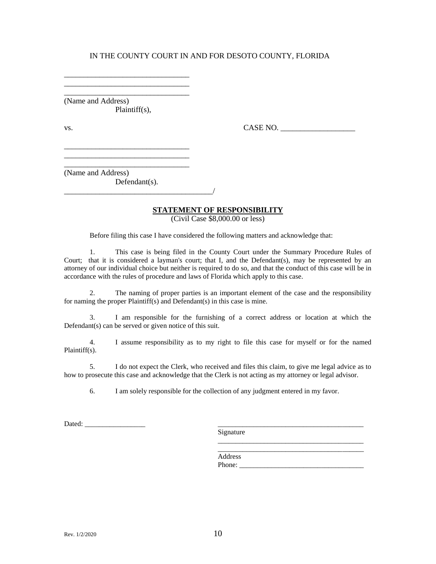\_\_\_\_\_\_\_\_\_\_\_\_\_\_\_\_\_\_\_\_\_\_\_\_\_\_\_\_\_\_\_\_ (Name and Address) Plaintiff(s),

\_\_\_\_\_\_\_\_\_\_\_\_\_\_\_\_\_\_\_\_\_\_\_\_\_\_\_\_\_\_\_\_ \_\_\_\_\_\_\_\_\_\_\_\_\_\_\_\_\_\_\_\_\_\_\_\_\_\_\_\_\_\_\_\_

\_\_\_\_\_\_\_\_\_\_\_\_\_\_\_\_\_\_\_\_\_\_\_\_\_\_\_\_\_\_\_\_ \_\_\_\_\_\_\_\_\_\_\_\_\_\_\_\_\_\_\_\_\_\_\_\_\_\_\_\_\_\_\_\_ \_\_\_\_\_\_\_\_\_\_\_\_\_\_\_\_\_\_\_\_\_\_\_\_\_\_\_\_\_\_\_\_

vs. 2008. CASE NO. 2008. CASE NO. 2008. CASE NO. 2008. 2009. CASE NO. 2008. 2009. CASE NO. 2008. 2014. 2015. 2016. 2017. 2018. 2019. 2017. 2018. 2019. 2017. 2018. 2019. 2017. 2018. 2019. 2017. 2018. 2019. 2019. 2019. 2019.

(Name and Address) Defendant(s).

\_\_\_\_\_\_\_\_\_\_\_\_\_\_\_\_\_\_\_\_\_\_\_\_\_\_\_\_\_\_\_\_\_\_\_\_\_\_/

# **STATEMENT OF RESPONSIBILITY**

(Civil Case \$8,000.00 or less)

Before filing this case I have considered the following matters and acknowledge that:

1. This case is being filed in the County Court under the Summary Procedure Rules of Court; that it is considered a layman's court; that I, and the Defendant(s), may be represented by an attorney of our individual choice but neither is required to do so, and that the conduct of this case will be in accordance with the rules of procedure and laws of Florida which apply to this case.

2. The naming of proper parties is an important element of the case and the responsibility for naming the proper Plaintiff(s) and Defendant(s) in this case is mine.

3. I am responsible for the furnishing of a correct address or location at which the Defendant(s) can be served or given notice of this suit.

4. I assume responsibility as to my right to file this case for myself or for the named Plaintiff(s).

5. I do not expect the Clerk, who received and files this claim, to give me legal advice as to how to prosecute this case and acknowledge that the Clerk is not acting as my attorney or legal advisor.

6. I am solely responsible for the collection of any judgment entered in my favor.

Dated:

Signature

\_\_\_\_\_\_\_\_\_\_\_\_\_\_\_\_\_\_\_\_\_\_\_\_\_\_\_\_\_\_\_\_\_\_\_\_\_\_\_\_\_ Address Phone: \_\_\_\_\_\_\_\_\_\_\_\_\_\_\_\_\_\_\_\_\_\_\_\_\_\_\_\_\_\_\_\_\_\_\_

\_\_\_\_\_\_\_\_\_\_\_\_\_\_\_\_\_\_\_\_\_\_\_\_\_\_\_\_\_\_\_\_\_\_\_\_\_\_\_\_\_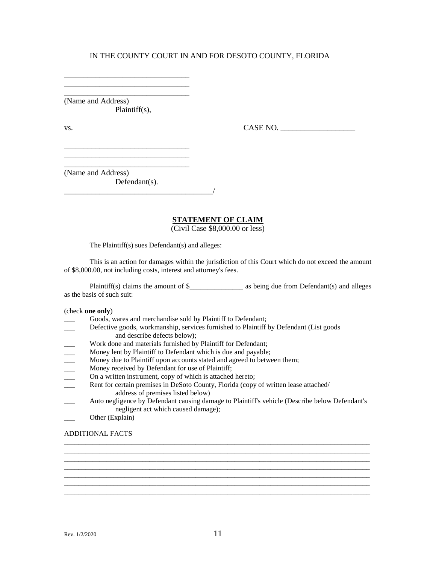(Name and Address) Plaintiff(s),

\_\_\_\_\_\_\_\_\_\_\_\_\_\_\_\_\_\_\_\_\_\_\_\_\_\_\_\_\_\_\_\_ \_\_\_\_\_\_\_\_\_\_\_\_\_\_\_\_\_\_\_\_\_\_\_\_\_\_\_\_\_\_\_\_ \_\_\_\_\_\_\_\_\_\_\_\_\_\_\_\_\_\_\_\_\_\_\_\_\_\_\_\_\_\_\_\_

\_\_\_\_\_\_\_\_\_\_\_\_\_\_\_\_\_\_\_\_\_\_\_\_\_\_\_\_\_\_\_\_ \_\_\_\_\_\_\_\_\_\_\_\_\_\_\_\_\_\_\_\_\_\_\_\_\_\_\_\_\_\_\_\_ \_\_\_\_\_\_\_\_\_\_\_\_\_\_\_\_\_\_\_\_\_\_\_\_\_\_\_\_\_\_\_\_

vs. 2008. CASE NO. 2008. CASE NO. 2008. CASE NO. 2008. 2009. CASE NO. 2008. 2009. CASE NO. 2008. 2014. 2015. 2016. 2017. 2018. 2019. 2017. 2018. 2019. 2017. 2018. 2019. 2017. 2018. 2019. 2017. 2018. 2019. 2019. 2019. 2019.

(Name and Address) Defendant(s).

\_\_\_\_\_\_\_\_\_\_\_\_\_\_\_\_\_\_\_\_\_\_\_\_\_\_\_\_\_\_\_\_\_\_\_\_\_\_/

#### **STATEMENT OF CLAIM**

(Civil Case \$8,000.00 or less)

The Plaintiff(s) sues Defendant(s) and alleges:

This is an action for damages within the jurisdiction of this Court which do not exceed the amount of \$8,000.00, not including costs, interest and attorney's fees.

Plaintiff(s) claims the amount of \$\_\_\_\_\_\_\_\_\_\_\_\_\_\_\_ as being due from Defendant(s) and alleges as the basis of such suit:

(check **one only**)

- Goods, wares and merchandise sold by Plaintiff to Defendant;
- Defective goods, workmanship, services furnished to Plaintiff by Defendant (List goods and describe defects below);
- Work done and materials furnished by Plaintiff for Defendant;
- Money lent by Plaintiff to Defendant which is due and payable;
- Money due to Plaintiff upon accounts stated and agreed to between them;<br>Money received by Defendant for use of Plaintiff;
- Money received by Defendant for use of Plaintiff;
- On a written instrument, copy of which is attached hereto;
- Rent for certain premises in DeSoto County, Florida (copy of written lease attached/ address of premises listed below)
- \_\_\_ Auto negligence by Defendant causing damage to Plaintiff's vehicle (Describe below Defendant's negligent act which caused damage);

\_\_\_\_\_\_\_\_\_\_\_\_\_\_\_\_\_\_\_\_\_\_\_\_\_\_\_\_\_\_\_\_\_\_\_\_\_\_\_\_\_\_\_\_\_\_\_\_\_\_\_\_\_\_\_\_\_\_\_\_\_\_\_\_\_\_\_\_\_\_\_\_\_\_\_\_\_\_\_\_\_\_\_\_\_\_ \_\_\_\_\_\_\_\_\_\_\_\_\_\_\_\_\_\_\_\_\_\_\_\_\_\_\_\_\_\_\_\_\_\_\_\_\_\_\_\_\_\_\_\_\_\_\_\_\_\_\_\_\_\_\_\_\_\_\_\_\_\_\_\_\_\_\_\_\_\_\_\_\_\_\_\_\_\_\_\_\_\_\_\_\_\_ \_\_\_\_\_\_\_\_\_\_\_\_\_\_\_\_\_\_\_\_\_\_\_\_\_\_\_\_\_\_\_\_\_\_\_\_\_\_\_\_\_\_\_\_\_\_\_\_\_\_\_\_\_\_\_\_\_\_\_\_\_\_\_\_\_\_\_\_\_\_\_\_\_\_\_\_\_\_\_\_\_\_\_\_\_\_

Other (Explain)

#### ADDITIONAL FACTS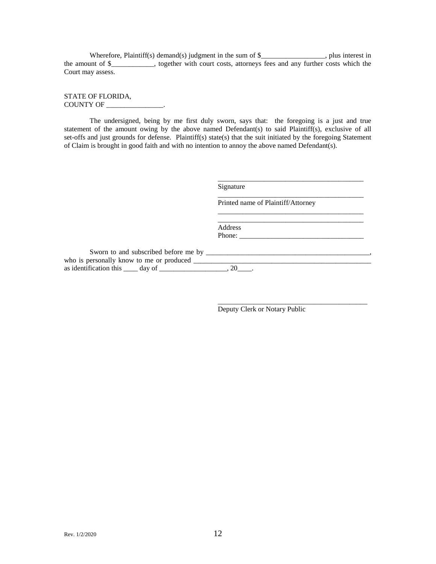Wherefore, Plaintiff(s) demand(s) judgment in the sum of \$\_\_\_\_\_\_\_\_\_\_\_\_\_\_\_\_, plus interest in the amount of \$\_\_\_\_\_\_\_\_\_\_\_\_, together with court costs, attorneys fees and any further costs which the Court may assess.

STATE OF FLORIDA, COUNTY OF \_\_\_\_\_\_\_\_\_\_\_\_\_\_\_\_.

The undersigned, being by me first duly sworn, says that: the foregoing is a just and true statement of the amount owing by the above named Defendant(s) to said Plaintiff(s), exclusive of all set-offs and just grounds for defense. Plaintiff(s) state(s) that the suit initiated by the foregoing Statement of Claim is brought in good faith and with no intention to annoy the above named Defendant(s).

Signature

Printed name of Plaintiff/Attorney

\_\_\_\_\_\_\_\_\_\_\_\_\_\_\_\_\_\_\_\_\_\_\_\_\_\_\_\_\_\_\_\_\_\_\_\_\_\_\_\_\_

\_\_\_\_\_\_\_\_\_\_\_\_\_\_\_\_\_\_\_\_\_\_\_\_\_\_\_\_\_\_\_\_\_\_\_\_\_\_\_\_\_

\_\_\_\_\_\_\_\_\_\_\_\_\_\_\_\_\_\_\_\_\_\_\_\_\_\_\_\_\_\_\_\_\_\_\_\_\_\_\_\_\_

\_\_\_\_\_\_\_\_\_\_\_\_\_\_\_\_\_\_\_\_\_\_\_\_\_\_\_\_\_\_\_\_\_\_\_\_\_\_\_\_\_\_

Address Phone: \_\_\_\_\_\_\_\_\_\_\_\_\_\_\_\_\_\_\_\_\_\_\_\_\_\_\_\_\_\_\_\_\_\_\_

Sworn to and subscribed before me by \_\_\_\_\_\_\_\_\_\_\_\_\_\_\_\_\_\_\_\_\_\_\_\_\_\_\_\_\_\_\_\_\_\_\_\_\_\_\_\_\_\_\_\_\_\_, who is personally know to me or produced \_\_\_\_\_\_\_\_\_\_\_\_\_\_\_\_\_\_\_\_\_\_\_\_\_\_\_\_\_\_\_\_\_\_\_\_\_\_\_\_\_\_\_\_\_\_\_\_\_\_ as identification this  $\_\_\_$  day of  $\_\_\_\_\_\_\_\_$ , 20 $\_\_\_\_\.\$ 

Deputy Clerk or Notary Public

Rev.  $1/2/2020$  12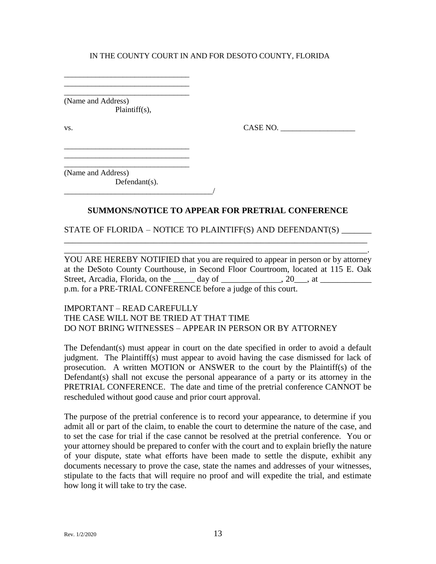\_\_\_\_\_\_\_\_\_\_\_\_\_\_\_\_\_\_\_\_\_\_\_\_\_\_\_\_\_\_\_\_ (Name and Address) Plaintiff(s),

\_\_\_\_\_\_\_\_\_\_\_\_\_\_\_\_\_\_\_\_\_\_\_\_\_\_\_\_\_\_\_\_ \_\_\_\_\_\_\_\_\_\_\_\_\_\_\_\_\_\_\_\_\_\_\_\_\_\_\_\_\_\_\_\_

\_\_\_\_\_\_\_\_\_\_\_\_\_\_\_\_\_\_\_\_\_\_\_\_\_\_\_\_\_\_\_\_ \_\_\_\_\_\_\_\_\_\_\_\_\_\_\_\_\_\_\_\_\_\_\_\_\_\_\_\_\_\_\_\_

vs.  $\begin{array}{ccc}\n & \text{CASE NO.} \\
 & \text{CASE NO.} \\
 \end{array}$ 

\_\_\_\_\_\_\_\_\_\_\_\_\_\_\_\_\_\_\_\_\_\_\_\_\_\_\_\_\_\_\_\_ (Name and Address) Defendant(s).

\_\_\_\_\_\_\_\_\_\_\_\_\_\_\_\_\_\_\_\_\_\_\_\_\_\_\_\_\_\_\_\_\_\_\_\_\_\_/

# **SUMMONS/NOTICE TO APPEAR FOR PRETRIAL CONFERENCE**

\_\_\_\_\_\_\_\_\_\_\_\_\_\_\_\_\_\_\_\_\_\_\_\_\_\_\_\_\_\_\_\_\_\_\_\_\_\_\_\_\_\_\_\_\_\_\_\_\_\_\_\_\_\_\_\_\_\_\_\_\_\_\_\_\_\_\_\_\_\_\_ \_\_\_\_\_\_\_\_\_\_\_\_\_\_\_\_\_\_\_\_\_\_\_\_\_\_\_\_\_\_\_\_\_\_\_\_\_\_\_\_\_\_\_\_\_\_\_\_\_\_\_\_\_\_\_\_\_\_\_\_\_\_\_\_\_\_\_\_\_\_\_.

STATE OF FLORIDA – NOTICE TO PLAINTIFF(S) AND DEFENDANT(S) \_\_\_\_\_\_\_

YOU ARE HEREBY NOTIFIED that you are required to appear in person or by attorney at the DeSoto County Courthouse, in Second Floor Courtroom, located at 115 E. Oak Street, Arcadia, Florida, on the \_\_\_\_\_ day of \_\_\_\_\_\_\_\_\_\_\_, 20\_\_, at \_\_\_\_\_\_\_\_\_\_\_\_ p.m. for a PRE-TRIAL CONFERENCE before a judge of this court.

# IMPORTANT – READ CAREFULLY THE CASE WILL NOT BE TRIED AT THAT TIME DO NOT BRING WITNESSES – APPEAR IN PERSON OR BY ATTORNEY

The Defendant(s) must appear in court on the date specified in order to avoid a default judgment. The Plaintiff(s) must appear to avoid having the case dismissed for lack of prosecution. A written MOTION or ANSWER to the court by the Plaintiff(s) of the Defendant(s) shall not excuse the personal appearance of a party or its attorney in the PRETRIAL CONFERENCE. The date and time of the pretrial conference CANNOT be rescheduled without good cause and prior court approval.

The purpose of the pretrial conference is to record your appearance, to determine if you admit all or part of the claim, to enable the court to determine the nature of the case, and to set the case for trial if the case cannot be resolved at the pretrial conference. You or your attorney should be prepared to confer with the court and to explain briefly the nature of your dispute, state what efforts have been made to settle the dispute, exhibit any documents necessary to prove the case, state the names and addresses of your witnesses, stipulate to the facts that will require no proof and will expedite the trial, and estimate how long it will take to try the case.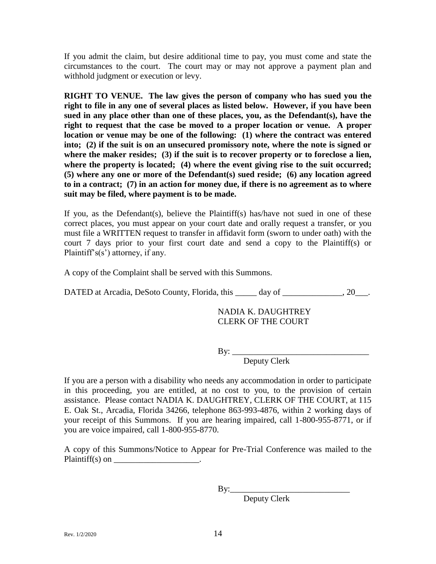If you admit the claim, but desire additional time to pay, you must come and state the circumstances to the court. The court may or may not approve a payment plan and withhold judgment or execution or levy.

**RIGHT TO VENUE. The law gives the person of company who has sued you the right to file in any one of several places as listed below. However, if you have been sued in any place other than one of these places, you, as the Defendant(s), have the right to request that the case be moved to a proper location or venue. A proper location or venue may be one of the following: (1) where the contract was entered into; (2) if the suit is on an unsecured promissory note, where the note is signed or where the maker resides; (3) if the suit is to recover property or to foreclose a lien,**  where the property is located; (4) where the event giving rise to the suit occurred; **(5) where any one or more of the Defendant(s) sued reside; (6) any location agreed to in a contract; (7) in an action for money due, if there is no agreement as to where suit may be filed, where payment is to be made.**

If you, as the Defendant(s), believe the Plaintiff(s) has/have not sued in one of these correct places, you must appear on your court date and orally request a transfer, or you must file a WRITTEN request to transfer in affidavit form (sworn to under oath) with the court 7 days prior to your first court date and send a copy to the Plaintiff(s) or Plaintiff's(s') attorney, if any.

A copy of the Complaint shall be served with this Summons.

DATED at Arcadia, DeSoto County, Florida, this \_\_\_\_\_ day of \_\_\_\_\_\_\_\_\_\_\_, 20\_\_\_.

NADIA K. DAUGHTREY CLERK OF THE COURT

By: \_\_\_\_\_\_\_\_\_\_\_\_\_\_\_\_\_\_\_\_\_\_\_\_\_\_\_\_\_\_\_\_

Deputy Clerk

If you are a person with a disability who needs any accommodation in order to participate in this proceeding, you are entitled, at no cost to you, to the provision of certain assistance. Please contact NADIA K. DAUGHTREY, CLERK OF THE COURT, at 115 E. Oak St., Arcadia, Florida 34266, telephone 863-993-4876, within 2 working days of your receipt of this Summons. If you are hearing impaired, call 1-800-955-8771, or if you are voice impaired, call 1-800-955-8770.

A copy of this Summons/Notice to Appear for Pre-Trial Conference was mailed to the Plaintiff(s) on  $\blacksquare$ 

By:\_\_\_\_\_\_\_\_\_\_\_\_\_\_\_\_\_\_\_\_\_\_\_\_\_\_\_\_

Deputy Clerk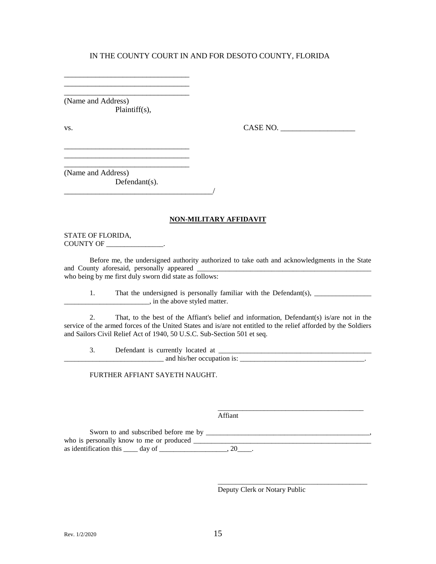\_\_\_\_\_\_\_\_\_\_\_\_\_\_\_\_\_\_\_\_\_\_\_\_\_\_\_\_\_\_\_\_ (Name and Address) Plaintiff(s),

\_\_\_\_\_\_\_\_\_\_\_\_\_\_\_\_\_\_\_\_\_\_\_\_\_\_\_\_\_\_\_\_ \_\_\_\_\_\_\_\_\_\_\_\_\_\_\_\_\_\_\_\_\_\_\_\_\_\_\_\_\_\_\_\_

\_\_\_\_\_\_\_\_\_\_\_\_\_\_\_\_\_\_\_\_\_\_\_\_\_\_\_\_\_\_\_\_ \_\_\_\_\_\_\_\_\_\_\_\_\_\_\_\_\_\_\_\_\_\_\_\_\_\_\_\_\_\_\_\_ \_\_\_\_\_\_\_\_\_\_\_\_\_\_\_\_\_\_\_\_\_\_\_\_\_\_\_\_\_\_\_\_

\_\_\_\_\_\_\_\_\_\_\_\_\_\_\_\_\_\_\_\_\_\_\_\_\_\_\_\_\_\_\_\_\_\_\_\_\_\_/

vs. CASE NO. \_\_\_\_\_\_\_\_\_\_\_\_\_\_\_\_\_\_\_

(Name and Address) Defendant(s).

#### **NON-MILITARY AFFIDAVIT**

STATE OF FLORIDA, COUNTY OF \_\_\_\_\_\_\_\_\_\_\_\_\_\_\_\_.

Before me, the undersigned authority authorized to take oath and acknowledgments in the State and County aforesaid, personally appeared who being by me first duly sworn did state as follows:

1. That the undersigned is personally familiar with the Defendant(s), \_\_\_\_\_\_\_\_\_\_\_\_\_\_\_\_ \_\_\_\_\_\_\_\_\_\_\_\_\_\_\_\_\_\_\_\_\_\_\_\_, in the above styled matter.

2. That, to the best of the Affiant's belief and information, Defendant(s) is/are not in the service of the armed forces of the United States and is/are not entitled to the relief afforded by the Soldiers and Sailors Civil Relief Act of 1940, 50 U.S.C. Sub-Section 501 et seq.

3. Defendant is currently located at \_\_\_\_\_\_\_\_\_\_\_\_\_\_\_\_\_\_\_\_\_\_\_\_\_\_\_\_\_\_\_\_\_\_\_\_\_\_\_\_\_\_\_ \_\_\_\_\_\_\_\_\_\_\_\_\_\_\_\_\_\_\_\_\_\_\_\_\_\_\_\_ and his/her occupation is: \_\_\_\_\_\_\_\_\_\_\_\_\_\_\_\_\_\_\_\_\_\_\_\_\_\_\_\_\_\_\_\_\_\_\_.

FURTHER AFFIANT SAYETH NAUGHT.

Affiant

Sworn to and subscribed before me by \_\_\_\_\_\_\_\_\_\_\_\_\_\_\_\_\_\_\_\_\_\_\_\_\_\_\_\_\_\_\_\_\_\_\_\_\_\_\_\_\_\_\_\_\_\_, who is personally know to me or produced \_\_\_\_\_\_\_\_\_\_\_\_\_\_\_\_\_\_\_\_\_\_\_\_\_\_\_\_\_\_\_\_\_\_\_\_\_\_\_\_\_\_\_\_\_\_\_\_\_\_ as identification this  $\_\_\_$  day of  $\_\_\_\_\_\_\_\_\_$ , 20 $\_\_\_\_\$ .

Deputy Clerk or Notary Public

\_\_\_\_\_\_\_\_\_\_\_\_\_\_\_\_\_\_\_\_\_\_\_\_\_\_\_\_\_\_\_\_\_\_\_\_\_\_\_\_\_

\_\_\_\_\_\_\_\_\_\_\_\_\_\_\_\_\_\_\_\_\_\_\_\_\_\_\_\_\_\_\_\_\_\_\_\_\_\_\_\_\_\_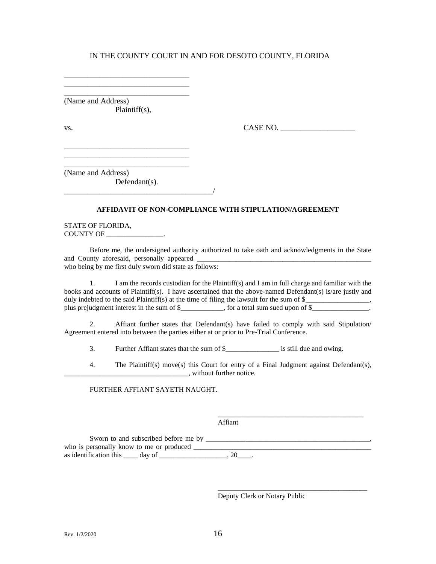\_\_\_\_\_\_\_\_\_\_\_\_\_\_\_\_\_\_\_\_\_\_\_\_\_\_\_\_\_\_\_\_ (Name and Address) Plaintiff(s),

\_\_\_\_\_\_\_\_\_\_\_\_\_\_\_\_\_\_\_\_\_\_\_\_\_\_\_\_\_\_\_\_ \_\_\_\_\_\_\_\_\_\_\_\_\_\_\_\_\_\_\_\_\_\_\_\_\_\_\_\_\_\_\_\_

\_\_\_\_\_\_\_\_\_\_\_\_\_\_\_\_\_\_\_\_\_\_\_\_\_\_\_\_\_\_\_\_ \_\_\_\_\_\_\_\_\_\_\_\_\_\_\_\_\_\_\_\_\_\_\_\_\_\_\_\_\_\_\_\_ \_\_\_\_\_\_\_\_\_\_\_\_\_\_\_\_\_\_\_\_\_\_\_\_\_\_\_\_\_\_\_\_

vs. 2008. CASE NO. 2008. CASE NO. 2008. CASE NO. 2008. 2009. CASE NO. 2008. 2009. CASE NO. 2008. 2014. 2015. 2016. 2017. 2018. 2019. 2017. 2018. 2019. 2017. 2018. 2019. 2017. 2018. 2019. 2017. 2018. 2019. 2019. 2019. 2019.

(Name and Address) Defendant(s).

\_\_\_\_\_\_\_\_\_\_\_\_\_\_\_\_\_\_\_\_\_\_\_\_\_\_\_\_\_\_\_\_\_\_\_\_\_\_/

#### **AFFIDAVIT OF NON-COMPLIANCE WITH STIPULATION/AGREEMENT**

STATE OF FLORIDA, COUNTY OF \_\_\_\_\_\_\_\_\_\_\_\_\_\_\_\_.

Before me, the undersigned authority authorized to take oath and acknowledgments in the State and County aforesaid, personally appeared \_\_\_\_\_\_\_\_\_\_\_\_\_\_\_\_\_\_\_\_\_\_\_\_\_\_\_\_\_\_\_\_\_\_\_\_\_\_\_\_\_\_\_\_\_\_\_\_\_ who being by me first duly sworn did state as follows:

1. I am the records custodian for the Plaintiff(s) and I am in full charge and familiar with the books and accounts of Plaintiff(s). I have ascertained that the above-named Defendant(s) is/are justly and duly indebted to the said Plaintiff(s) at the time of filing the lawsuit for the sum of \$\_\_\_\_\_\_\_\_\_\_\_\_\_\_\_\_, plus prejudgment interest in the sum of \$\_\_\_\_\_\_\_\_, for a total sum sued upon of \$\_\_\_\_\_\_\_\_\_\_\_\_.

2. Affiant further states that Defendant(s) have failed to comply with said Stipulation/ Agreement entered into between the parties either at or prior to Pre-Trial Conference.

3. Further Affiant states that the sum of \$\_\_\_\_\_\_\_\_\_\_\_\_\_\_\_ is still due and owing.

4. The Plaintiff(s) move(s) this Court for entry of a Final Judgment against Defendant(s), \_\_\_\_\_\_\_\_\_\_\_\_\_\_\_\_\_\_\_\_\_\_\_\_\_\_\_\_\_\_\_\_\_\_\_, without further notice.

#### FURTHER AFFIANT SAYETH NAUGHT.

Affiant

Sworn to and subscribed before me by \_\_\_\_\_\_\_\_\_\_\_\_\_\_\_\_\_\_\_\_\_\_\_\_\_\_\_\_\_\_\_\_\_\_\_\_\_\_\_\_\_\_\_\_\_\_, who is personally know to me or produced \_\_\_\_\_\_\_\_\_\_\_\_\_\_\_\_\_\_\_\_\_\_\_\_\_\_\_\_\_\_\_\_\_\_\_\_\_\_\_\_\_\_\_\_\_\_\_\_\_\_ as identification this  $\_\_\_$  day of  $\_\_\_\_\_\_\_\_\_$ , 20 $\_\_\_\_\_\.\$ 

Deputy Clerk or Notary Public

\_\_\_\_\_\_\_\_\_\_\_\_\_\_\_\_\_\_\_\_\_\_\_\_\_\_\_\_\_\_\_\_\_\_\_\_\_\_\_\_\_

\_\_\_\_\_\_\_\_\_\_\_\_\_\_\_\_\_\_\_\_\_\_\_\_\_\_\_\_\_\_\_\_\_\_\_\_\_\_\_\_\_\_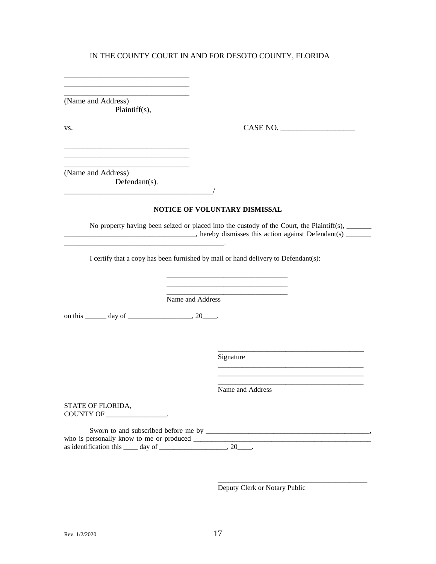\_\_\_\_\_\_\_\_\_\_\_\_\_\_\_\_\_\_\_\_\_\_\_\_\_\_\_\_\_\_\_\_ (Name and Address) Plaintiff(s),

\_\_\_\_\_\_\_\_\_\_\_\_\_\_\_\_\_\_\_\_\_\_\_\_\_\_\_\_\_\_\_\_ \_\_\_\_\_\_\_\_\_\_\_\_\_\_\_\_\_\_\_\_\_\_\_\_\_\_\_\_\_\_\_\_

\_\_\_\_\_\_\_\_\_\_\_\_\_\_\_\_\_\_\_\_\_\_\_\_\_\_\_\_\_\_\_\_

\_\_\_\_\_\_\_\_\_\_\_\_\_\_\_\_\_\_\_\_\_\_\_\_\_\_\_\_\_\_\_\_

\_\_\_\_\_\_\_\_\_\_\_\_\_\_\_\_\_\_\_\_\_\_\_\_\_\_\_\_\_\_\_\_\_\_\_\_\_\_/

vs. CASE NO. \_\_\_\_\_\_\_\_\_\_\_\_\_\_\_\_\_\_\_

(Name and Address) Defendant(s).

#### **NOTICE OF VOLUNTARY DISMISSAL**

 $\blacksquare$ 

No property having been seized or placed into the custody of the Court, the Plaintiff(s), \_\_\_\_\_\_\_\_\_  $\Box$  hereby dismisses this action against Defendant(s)  $\Box$ 

\_\_\_\_\_\_\_\_\_\_\_\_\_\_\_\_\_\_\_\_\_\_\_\_\_\_\_\_\_\_\_\_\_\_

I certify that a copy has been furnished by mail or hand delivery to Defendant(s):

Name and Address

on this \_\_\_\_\_\_\_ day of \_\_\_\_\_\_\_\_\_\_\_\_\_\_\_\_\_\_, 20\_\_\_\_.

Signature

Name and Address

\_\_\_\_\_\_\_\_\_\_\_\_\_\_\_\_\_\_\_\_\_\_\_\_\_\_\_\_\_\_\_\_\_\_\_\_\_\_\_\_\_

\_\_\_\_\_\_\_\_\_\_\_\_\_\_\_\_\_\_\_\_\_\_\_\_\_\_\_\_\_\_\_\_\_\_\_\_\_\_\_\_\_

\_\_\_\_\_\_\_\_\_\_\_\_\_\_\_\_\_\_\_\_\_\_\_\_\_\_\_\_\_\_\_\_\_\_\_\_\_\_\_\_\_

\_\_\_\_\_\_\_\_\_\_\_\_\_\_\_\_\_\_\_\_\_\_\_\_\_\_\_\_\_\_\_\_\_\_\_\_\_\_\_\_\_\_

STATE OF FLORIDA, COUNTY OF \_\_\_\_\_\_\_\_\_\_\_\_\_\_\_\_\_.

Sworn to and subscribed before me by \_\_\_\_\_\_\_\_\_\_\_\_\_\_\_\_\_\_\_\_\_\_\_\_\_\_\_\_\_\_\_\_\_\_\_\_\_\_\_\_\_\_\_\_\_\_, who is personally know to me or produced \_\_\_\_\_\_\_\_\_\_\_\_\_\_\_\_\_\_\_\_\_\_\_\_\_\_\_\_\_\_\_\_\_\_\_\_\_\_\_\_\_\_\_\_\_\_\_\_\_\_ as identification this  $\_\_\_$  day of  $\_\_\_\_\_\_\_\_\_$ , 20 $\_\_\_\_\$ .

Deputy Clerk or Notary Public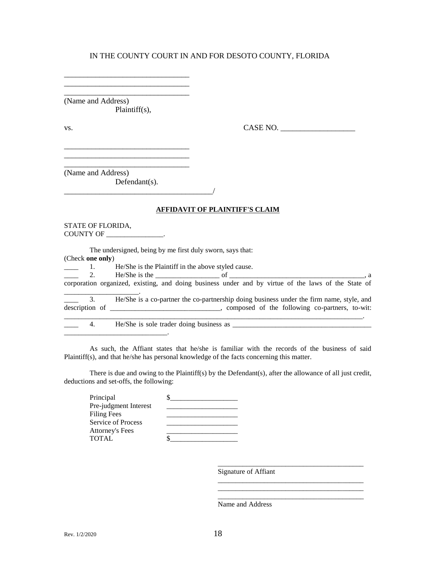\_\_\_\_\_\_\_\_\_\_\_\_\_\_\_\_\_\_\_\_\_\_\_\_\_\_\_\_\_\_\_\_ (Name and Address) Plaintiff(s),

\_\_\_\_\_\_\_\_\_\_\_\_\_\_\_\_\_\_\_\_\_\_\_\_\_\_\_\_\_\_\_\_ \_\_\_\_\_\_\_\_\_\_\_\_\_\_\_\_\_\_\_\_\_\_\_\_\_\_\_\_\_\_\_\_

\_\_\_\_\_\_\_\_\_\_\_\_\_\_\_\_\_\_\_\_\_\_\_\_\_\_\_\_\_\_\_\_

\_\_\_\_\_\_\_\_\_\_\_\_\_\_\_\_\_\_\_\_\_\_\_\_\_\_\_\_\_\_\_\_

vs. 2008. CASE NO. 2008. CASE NO. 2008. CASE NO. 2008. 2009. CASE NO. 2008. 2009. CASE NO. 2008. 2014. 2015. 2016. 2017. 2018. 2019. 2017. 2018. 2019. 2017. 2018. 2019. 2017. 2018. 2019. 2017. 2018. 2019. 2019. 2019. 2019.

\_\_\_\_\_\_\_\_\_\_\_\_\_\_\_\_\_\_\_\_\_\_\_\_\_\_\_\_\_\_\_\_\_\_\_\_\_\_\_\_\_\_\_\_\_\_\_\_\_\_\_\_\_\_\_\_\_\_\_\_\_\_\_\_\_\_\_\_\_\_\_\_\_\_\_\_\_\_\_\_\_\_\_\_.

(Name and Address) Defendant(s).

\_\_\_\_\_\_\_\_\_\_\_\_\_\_\_\_\_\_\_\_\_\_\_\_\_\_\_\_\_.

\_\_\_\_\_\_\_\_\_\_\_\_\_\_\_\_\_\_\_\_\_\_\_\_\_\_\_\_\_\_\_\_\_\_\_\_\_\_/

#### **AFFIDAVIT OF PLAINTIFF'S CLAIM**

STATE OF FLORIDA, COUNTY OF \_\_\_\_\_\_\_\_\_\_\_\_\_\_\_\_\_\_\_\_.

The undersigned, being by me first duly sworn, says that: (Check **one only**)

 $\frac{1}{2}$  He/She is the Plaintiff in the above styled cause.

\_\_\_\_ 2. He/She is the \_\_\_\_\_\_\_\_\_\_\_\_\_\_\_\_\_\_ of \_\_\_\_\_\_\_\_\_\_\_\_\_\_\_\_\_\_\_\_\_\_\_\_\_\_\_\_\_\_\_\_\_\_\_\_\_\_, a corporation organized, existing, and doing business under and by virtue of the laws of the State of

\_\_\_\_\_\_\_\_\_\_\_\_\_\_\_\_\_\_\_\_\_. 3. He/She is a co-partner the co-partnership doing business under the firm name, style, and description of \_\_\_\_\_\_\_\_\_\_\_\_\_\_\_\_\_\_\_\_\_\_\_\_\_\_\_\_\_\_\_, composed of the following co-partners, to-wit:

 $\frac{4}{\sqrt{2}}$  4. He/She is sole trader doing business as  $\frac{4}{\sqrt{2}}$ 

As such, the Affiant states that he/she is familiar with the records of the business of said Plaintiff(s), and that he/she has personal knowledge of the facts concerning this matter.

There is due and owing to the Plaintiff(s) by the Defendant(s), after the allowance of all just credit, deductions and set-offs, the following:

Signature of Affiant

\_\_\_\_\_\_\_\_\_\_\_\_\_\_\_\_\_\_\_\_\_\_\_\_\_\_\_\_\_\_\_\_\_\_\_\_\_\_\_\_\_

\_\_\_\_\_\_\_\_\_\_\_\_\_\_\_\_\_\_\_\_\_\_\_\_\_\_\_\_\_\_\_\_\_\_\_\_\_\_\_\_\_ \_\_\_\_\_\_\_\_\_\_\_\_\_\_\_\_\_\_\_\_\_\_\_\_\_\_\_\_\_\_\_\_\_\_\_\_\_\_\_\_\_ \_\_\_\_\_\_\_\_\_\_\_\_\_\_\_\_\_\_\_\_\_\_\_\_\_\_\_\_\_\_\_\_\_\_\_\_\_\_\_\_\_

Name and Address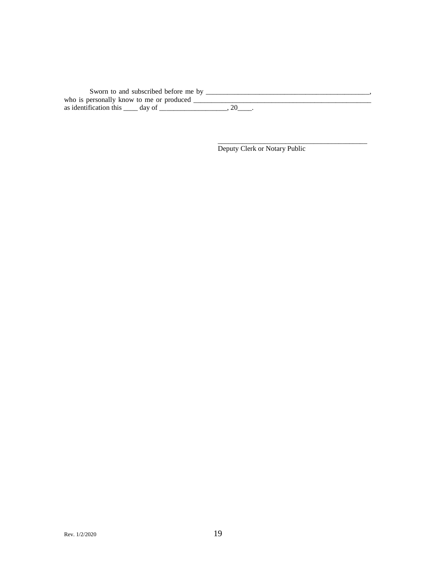| Sworn to and subscribed before me by     |  |
|------------------------------------------|--|
| who is personally know to me or produced |  |
| as identification this day of            |  |

Deputy Clerk or Notary Public

\_\_\_\_\_\_\_\_\_\_\_\_\_\_\_\_\_\_\_\_\_\_\_\_\_\_\_\_\_\_\_\_\_\_\_\_\_\_\_\_\_\_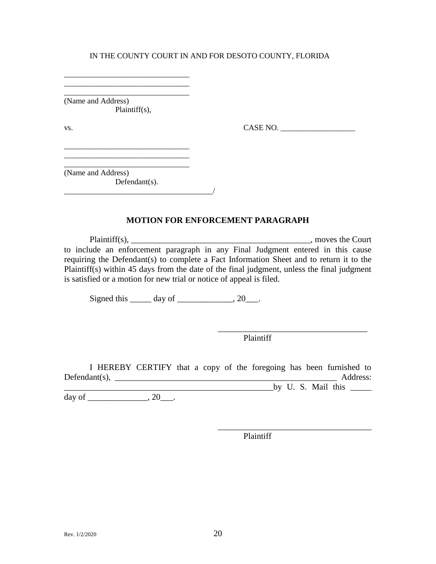\_\_\_\_\_\_\_\_\_\_\_\_\_\_\_\_\_\_\_\_\_\_\_\_\_\_\_\_\_\_\_\_ (Name and Address) Plaintiff(s),

\_\_\_\_\_\_\_\_\_\_\_\_\_\_\_\_\_\_\_\_\_\_\_\_\_\_\_\_\_\_\_\_ \_\_\_\_\_\_\_\_\_\_\_\_\_\_\_\_\_\_\_\_\_\_\_\_\_\_\_\_\_\_\_\_

\_\_\_\_\_\_\_\_\_\_\_\_\_\_\_\_\_\_\_\_\_\_\_\_\_\_\_\_\_\_\_\_

\_\_\_\_\_\_\_\_\_\_\_\_\_\_\_\_\_\_\_\_\_\_\_\_\_\_\_\_\_\_\_\_

vs. CASE NO. \_\_\_\_\_\_\_\_\_\_\_\_\_\_\_\_\_\_\_

(Name and Address) Defendant(s).  $\overline{\phantom{a}}$ 

Plaintiff(s), the Court of the Court of the Court of the Court of the Court of the Court of the Court of the Court of the Court of the Court of the Court of the Court of the Court of the Court of the Court of the Court of to include an enforcement paragraph in any Final Judgment entered in this cause requiring the Defendant(s) to complete a Fact Information Sheet and to return it to the Plaintiff(s) within 45 days from the date of the final judgment, unless the final judgment is satisfied or a motion for new trial or notice of appeal is filed.

**MOTION FOR ENFORCEMENT PARAGRAPH**

Signed this  $\qquad \qquad \text{day of} \qquad \qquad .20 \qquad .$ 

Plaintiff

\_\_\_\_\_\_\_\_\_\_\_\_\_\_\_\_\_\_\_\_\_\_\_\_\_\_\_\_\_\_\_\_\_\_\_

\_\_\_\_\_\_\_\_\_\_\_\_\_\_\_\_\_\_\_\_\_\_\_\_\_\_\_\_\_\_\_\_\_\_\_\_

I HEREBY CERTIFY that a copy of the foregoing has been furnished to  $\text{Defendant}(s), \_\_\_\_\_\_\_\_\_\_\_\_$ \_\_\_\_\_\_\_\_\_\_\_\_\_\_\_\_\_\_\_\_\_\_\_\_\_\_\_\_\_\_\_\_\_\_\_\_\_\_\_\_\_\_\_\_\_\_\_\_\_by U. S. Mail this \_\_\_\_\_

day of  $\qquad \qquad .20$ .

Plaintiff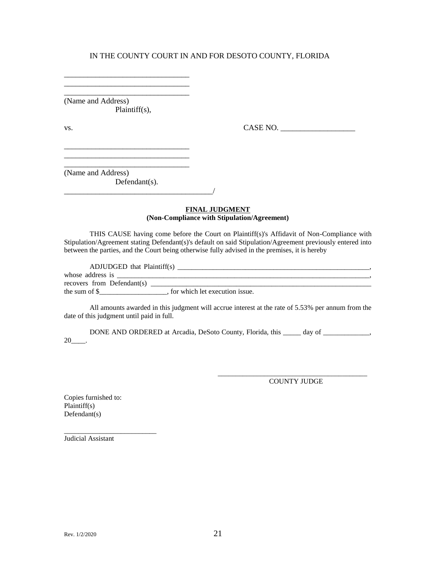\_\_\_\_\_\_\_\_\_\_\_\_\_\_\_\_\_\_\_\_\_\_\_\_\_\_\_\_\_\_\_\_ (Name and Address) Plaintiff(s),

\_\_\_\_\_\_\_\_\_\_\_\_\_\_\_\_\_\_\_\_\_\_\_\_\_\_\_\_\_\_\_\_

\_\_\_\_\_\_\_\_\_\_\_\_\_\_\_\_\_\_\_\_\_\_\_\_\_\_\_\_\_\_\_\_

\_\_\_\_\_\_\_\_\_\_\_\_\_\_\_\_\_\_\_\_\_\_\_\_\_\_\_\_\_\_\_\_ \_\_\_\_\_\_\_\_\_\_\_\_\_\_\_\_\_\_\_\_\_\_\_\_\_\_\_\_\_\_\_\_

vs. CASE NO. \_\_\_\_\_\_\_\_\_\_\_\_\_\_\_\_\_\_\_

(Name and Address) Defendant(s).

\_\_\_\_\_\_\_\_\_\_\_\_\_\_\_\_\_\_\_\_\_\_\_\_\_\_\_\_\_\_\_\_\_\_\_\_\_\_/

#### **FINAL JUDGMENT (Non-Compliance with Stipulation/Agreement)**

THIS CAUSE having come before the Court on Plaintiff(s)'s Affidavit of Non-Compliance with Stipulation/Agreement stating Defendant(s)'s default on said Stipulation/Agreement previously entered into between the parties, and the Court being otherwise fully advised in the premises, it is hereby

| ADJUDGED that Plaintiff(s) |                                |  |
|----------------------------|--------------------------------|--|
| whose address is           |                                |  |
| recovers from Defendant(s) |                                |  |
| the sum of $\mathcal S$    | for which let execution issue. |  |

All amounts awarded in this judgment will accrue interest at the rate of 5.53% per annum from the date of this judgment until paid in full.

DONE AND ORDERED at Arcadia, DeSoto County, Florida, this \_\_\_\_\_ day of \_\_\_\_\_\_\_\_\_\_,  $20$ \_\_\_\_\_.

> \_\_\_\_\_\_\_\_\_\_\_\_\_\_\_\_\_\_\_\_\_\_\_\_\_\_\_\_\_\_\_\_\_\_\_\_\_\_\_\_\_\_ COUNTY JUDGE

Copies furnished to: Plaintiff(s) Defendant(s)

Judicial Assistant

\_\_\_\_\_\_\_\_\_\_\_\_\_\_\_\_\_\_\_\_\_\_\_\_\_\_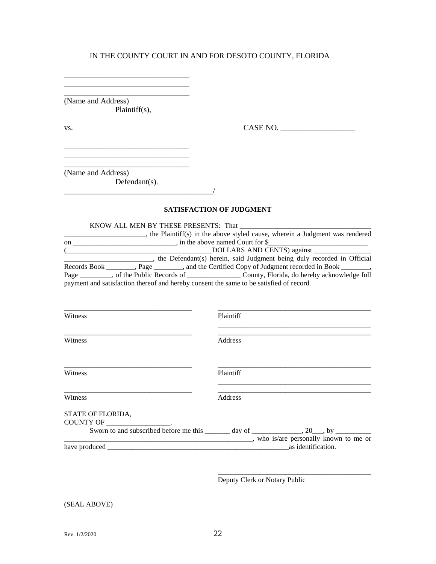\_\_\_\_\_\_\_\_\_\_\_\_\_\_\_\_\_\_\_\_\_\_\_\_\_\_\_\_\_\_\_\_ (Name and Address) Plaintiff(s),

\_\_\_\_\_\_\_\_\_\_\_\_\_\_\_\_\_\_\_\_\_\_\_\_\_\_\_\_\_\_\_\_

\_\_\_\_\_\_\_\_\_\_\_\_\_\_\_\_\_\_\_\_\_\_\_\_\_\_\_\_\_\_\_\_

\_\_\_\_\_\_\_\_\_\_\_\_\_\_\_\_\_\_\_\_\_\_\_\_\_\_\_\_\_\_\_\_

vs. CASE NO. \_\_\_\_\_\_\_\_\_\_\_\_\_\_\_\_\_\_\_

(Name and Address) Defendant(s).

#### **SATISFACTION OF JUDGMENT**

 $\overline{\phantom{a}}$ 

KNOW ALL MEN BY THESE PRESENTS: That \_\_\_\_\_\_\_\_\_\_\_\_\_\_\_\_\_\_\_\_\_\_\_\_\_\_\_\_\_\_\_\_\_\_\_\_\_ \_\_\_\_\_\_\_\_\_\_\_\_\_\_\_\_\_\_\_\_\_\_\_, the Plaintiff(s) in the above styled cause, wherein a Judgment was rendered on \_\_\_\_\_\_\_\_\_\_\_\_\_\_\_\_\_\_\_\_\_\_\_\_\_\_\_\_\_, in the above named Court for \$\_\_\_\_\_\_\_\_\_\_\_\_\_\_\_\_\_\_\_\_\_\_\_\_\_\_\_\_ (\_\_\_\_\_\_\_\_\_\_\_\_\_\_\_\_\_\_\_\_\_\_\_\_\_\_\_\_\_\_\_\_\_\_\_\_\_\_\_\_\_DOLLARS AND CENTS) against \_\_\_\_\_\_\_\_\_\_\_\_\_\_\_\_ **Example 2.1** The Defendant(s) herein, said Judgment being duly recorded in Official Records Book \_\_\_\_\_\_\_, Page \_\_\_\_\_\_\_, and the Certified Copy of Judgment recorded in Book \_\_\_\_\_\_\_, Page \_\_\_\_\_\_\_\_, of the Public Records of \_\_\_\_\_\_\_\_\_\_\_\_\_\_\_\_\_\_\_\_\_\_\_ County, Florida, do hereby acknowledge full payment and satisfaction thereof and hereby consent the same to be satisfied of record.

| Witness                               | Plaintiff                                                                                                                        |
|---------------------------------------|----------------------------------------------------------------------------------------------------------------------------------|
| Witness                               | Address                                                                                                                          |
| Witness                               | Plaintiff                                                                                                                        |
| Witness                               | Address                                                                                                                          |
| STATE OF FLORIDA,<br><b>COUNTY OF</b> | Sworn to and subscribed before me this ______ day of ____________, 20___, by _________<br>, who is/are personally known to me or |
| have produced                         | as identification.                                                                                                               |

Deputy Clerk or Notary Public

\_\_\_\_\_\_\_\_\_\_\_\_\_\_\_\_\_\_\_\_\_\_\_\_\_\_\_\_\_\_\_\_\_\_\_\_\_\_\_\_\_\_\_

(SEAL ABOVE)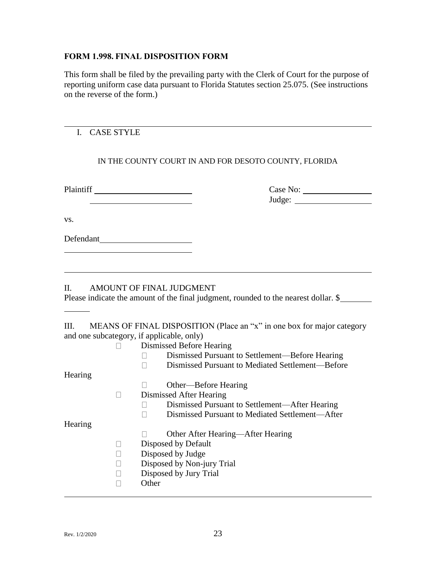# **FORM 1.998. FINAL DISPOSITION FORM**

This form shall be filed by the prevailing party with the Clerk of Court for the purpose of reporting uniform case data pursuant to Florida Statutes section 25.075. (See instructions on the reverse of the form.)

# I. CASE STYLE

# IN THE COUNTY COURT IN AND FOR DESOTO COUNTY, FLORIDA

| Plaintiff |  |
|-----------|--|
|           |  |

Plaintiff Case No: Judge:

vs.

Defendant

# II. AMOUNT OF FINAL JUDGMENT

Please indicate the amount of the final judgment, rounded to the nearest dollar. \$

III. MEANS OF FINAL DISPOSITION (Place an "x" in one box for major category and one subcategory, if applicable, only)

|         | Dismissed Before Hearing                         |
|---------|--------------------------------------------------|
|         | Dismissed Pursuant to Settlement—Before Hearing  |
|         | Dismissed Pursuant to Mediated Settlement—Before |
| Hearing |                                                  |
|         | Other—Before Hearing                             |
|         | Dismissed After Hearing                          |
|         | Dismissed Pursuant to Settlement-After Hearing   |
|         | Dismissed Pursuant to Mediated Settlement—After  |
| Hearing |                                                  |
|         | Other After Hearing—After Hearing                |
|         | Disposed by Default                              |
|         | Disposed by Judge                                |
|         | Disposed by Non-jury Trial                       |
|         | Disposed by Jury Trial                           |
|         | Other                                            |